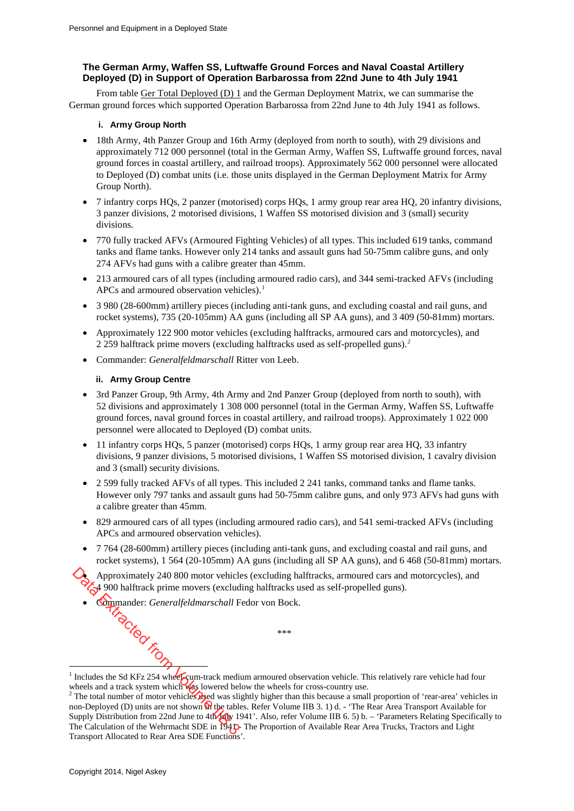# **The German Army, Waffen SS, Luftwaffe Ground Forces and Naval Coastal Artillery Deployed (D) in Support of Operation Barbarossa from 22nd June to 4th July 1941**

From table Ger Total Deployed (D) 1 and the German Deployment Matrix, we can summarise the German ground forces which supported Operation Barbarossa from 22nd June to 4th July 1941 as follows.

### **i. Army Group North**

- 18th Army, 4th Panzer Group and 16th Army (deployed from north to south), with 29 divisions and approximately 712 000 personnel (total in the German Army, Waffen SS, Luftwaffe ground forces, naval ground forces in coastal artillery, and railroad troops). Approximately 562 000 personnel were allocated to Deployed (D) combat units (i.e. those units displayed in the German Deployment Matrix for Army Group North).
- 7 infantry corps HQs, 2 panzer (motorised) corps HQs, 1 army group rear area HQ, 20 infantry divisions, 3 panzer divisions, 2 motorised divisions, 1 Waffen SS motorised division and 3 (small) security divisions.
- 770 fully tracked AFVs (Armoured Fighting Vehicles) of all types. This included 619 tanks, command tanks and flame tanks. However only 214 tanks and assault guns had 50-75mm calibre guns, and only 274 AFVs had guns with a calibre greater than 45mm.
- 213 armoured cars of all types (including armoured radio cars), and 344 semi-tracked AFVs (including APCs and armoured observation vehicles).<sup>[1](#page-0-0)</sup>
- 3 980 (28-600mm) artillery pieces (including anti-tank guns, and excluding coastal and rail guns, and rocket systems), 735 (20-105mm) AA guns (including all SP AA guns), and 3 409 (50-81mm) mortars.
- Approximately 122 900 motor vehicles (excluding halftracks, armoured cars and motorcycles), and [2](#page-0-1) 259 halftrack prime movers (excluding halftracks used as self-propelled guns).<sup>2</sup>
- Commander: *Generalfeldmarschall* Ritter von Leeb.

## **ii. Army Group Centre**

- 3rd Panzer Group, 9th Army, 4th Army and 2nd Panzer Group (deployed from north to south), with 52 divisions and approximately 1 308 000 personnel (total in the German Army, Waffen SS, Luftwaffe ground forces, naval ground forces in coastal artillery, and railroad troops). Approximately 1 022 000 personnel were allocated to Deployed (D) combat units.
- 11 infantry corps HQs, 5 panzer (motorised) corps HQs, 1 army group rear area HQ, 33 infantry divisions, 9 panzer divisions, 5 motorised divisions, 1 Waffen SS motorised division, 1 cavalry division and 3 (small) security divisions.
- 2 599 fully tracked AFVs of all types. This included 2 241 tanks, command tanks and flame tanks. However only 797 tanks and assault guns had 50-75mm calibre guns, and only 973 AFVs had guns with a calibre greater than 45mm.
- 829 armoured cars of all types (including armoured radio cars), and 541 semi-tracked AFVs (including APCs and armoured observation vehicles).
- 7 764 (28-600mm) artillery pieces (including anti-tank guns, and excluding coastal and rail guns, and rocket systems), 1 564 (20-105mm) AA guns (including all SP AA guns), and 6 468 (50-81mm) mortars.

• Approximately 240 800 motor vehicles (excluding halftracks, armoured cars and motorcycles), and 4 900 halftrack prime movers (excluding halftracks used as self-propelled guns).

\*\*\*

• Commander: *Generalfeldmarschall* Fedor von Bock. ima.<br>This Ched from

<sup>-</sup><sup>1</sup> Includes the Sd KFz 254 wheel-cum-track medium armoured observation vehicle. This relatively rare vehicle had four

<span id="page-0-1"></span><span id="page-0-0"></span>wheels and a track system which was lowered below the wheels for cross-country use.  $2^2$  The total number of motor vehicles used was slightly higher than this because a small proportion of 'rear-area' vehicles in non-Deployed (D) units are not shown  $\mathbf{\Omega}$  the tables. Refer Volume IIB 3. 1) d. - 'The Rear Area Transport Available for Supply Distribution from 22nd June to  $4th$   $4th$  1941'. Also, refer Volume IIB 6. 5) b. – 'Parameters Relating Specifically to The Calculation of the Wehrmacht SDE in 1941. The Proportion of Available Rear Area Trucks, Tractors and Light Transport Allocated to Rear Area SDE Functions'.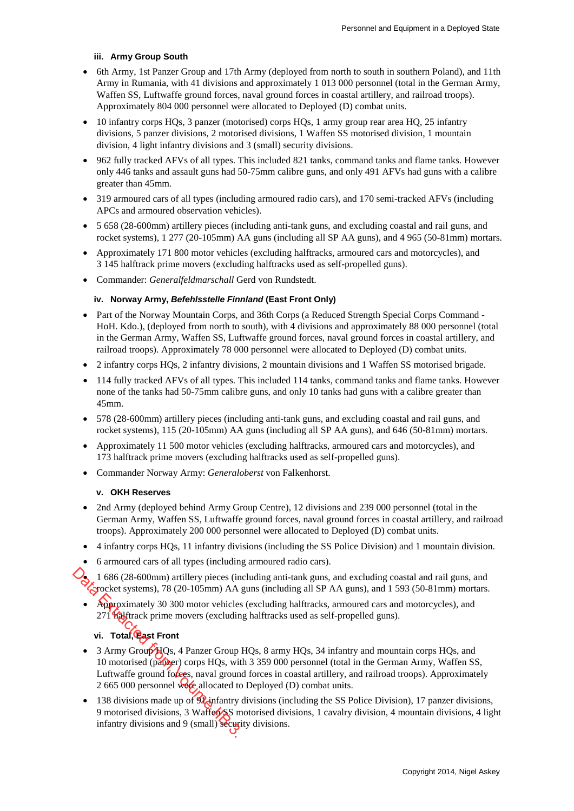## **iii. Army Group South**

- 6th Army, 1st Panzer Group and 17th Army (deployed from north to south in southern Poland), and 11th Army in Rumania, with 41 divisions and approximately 1 013 000 personnel (total in the German Army, Waffen SS, Luftwaffe ground forces, naval ground forces in coastal artillery, and railroad troops). Approximately 804 000 personnel were allocated to Deployed (D) combat units.
- 10 infantry corps HQs, 3 panzer (motorised) corps HQs, 1 army group rear area HQ, 25 infantry divisions, 5 panzer divisions, 2 motorised divisions, 1 Waffen SS motorised division, 1 mountain division, 4 light infantry divisions and 3 (small) security divisions.
- 962 fully tracked AFVs of all types. This included 821 tanks, command tanks and flame tanks. However only 446 tanks and assault guns had 50-75mm calibre guns, and only 491 AFVs had guns with a calibre greater than 45mm.
- 319 armoured cars of all types (including armoured radio cars), and 170 semi-tracked AFVs (including APCs and armoured observation vehicles).
- 5 658 (28-600mm) artillery pieces (including anti-tank guns, and excluding coastal and rail guns, and rocket systems), 1 277 (20-105mm) AA guns (including all SP AA guns), and 4 965 (50-81mm) mortars.
- Approximately 171 800 motor vehicles (excluding halftracks, armoured cars and motorcycles), and 3 145 halftrack prime movers (excluding halftracks used as self-propelled guns).
- Commander: *Generalfeldmarschall* Gerd von Rundstedt.

## **iv. Norway Army,** *Befehlsstelle Finnland* **(East Front Only)**

- Part of the Norway Mountain Corps, and 36th Corps (a Reduced Strength Special Corps Command HoH. Kdo.), (deployed from north to south), with 4 divisions and approximately 88 000 personnel (total in the German Army, Waffen SS, Luftwaffe ground forces, naval ground forces in coastal artillery, and railroad troops). Approximately 78 000 personnel were allocated to Deployed (D) combat units.
- 2 infantry corps HQs, 2 infantry divisions, 2 mountain divisions and 1 Waffen SS motorised brigade.
- 114 fully tracked AFVs of all types. This included 114 tanks, command tanks and flame tanks. However none of the tanks had 50-75mm calibre guns, and only 10 tanks had guns with a calibre greater than 45mm.
- 578 (28-600mm) artillery pieces (including anti-tank guns, and excluding coastal and rail guns, and rocket systems), 115 (20-105mm) AA guns (including all SP AA guns), and 646 (50-81mm) mortars.
- Approximately 11 500 motor vehicles (excluding halftracks, armoured cars and motorcycles), and 173 halftrack prime movers (excluding halftracks used as self-propelled guns).
- Commander Norway Army: *Generaloberst* von Falkenhorst.

### **v. OKH Reserves**

- 2nd Army (deployed behind Army Group Centre), 12 divisions and 239 000 personnel (total in the German Army, Waffen SS, Luftwaffe ground forces, naval ground forces in coastal artillery, and railroad troops). Approximately 200 000 personnel were allocated to Deployed (D) combat units.
- 4 infantry corps HQs, 11 infantry divisions (including the SS Police Division) and 1 mountain division.
- 6 armoured cars of all types (including armoured radio cars).
- 1 686 (28-600mm) artillery pieces (including anti-tank guns, and excluding coastal and rail guns, and rocket systems), 78 (20-105mm) AA guns (including all SP AA guns), and 1 593 (50-81mm) mortars.
- Approximately 30 300 motor vehicles (excluding halftracks, armoured cars and motorcycles), and 271 **halftrack** prime movers (excluding halftracks used as self-propelled guns).

# **vi. Total, East Front**

- 3 Army Group HQs, 4 Panzer Group HQs, 8 army HQs, 34 infantry and mountain corps HQs, and 10 motorised (panzer) corps HQs, with 3 359 000 personnel (total in the German Army, Waffen SS, Luftwaffe ground forces, naval ground forces in coastal artillery, and railroad troops). Approximately 2 665 000 personnel were allocated to Deployed (D) combat units. 1 686 (28-600mm) artillery pieces (in<br>
Spocket systems), 78 (20-105mm) AA<br>
Paproximately 30 300 motor vehicles<br>
271 halftrack prime movers (excludin<br>
vi. Total, East Front<br>
3 Army Group HQs, 4 Panzer Group<br>
10 motorised (p
	- 138 divisions made up of  $\mathcal{P}$  infantry divisions (including the SS Police Division), 17 panzer divisions, 9 motorised divisions, 3 Waffert SS motorised divisions, 1 cavalry division, 4 mountain divisions, 4 light infantry divisions and 9 (small) security divisions.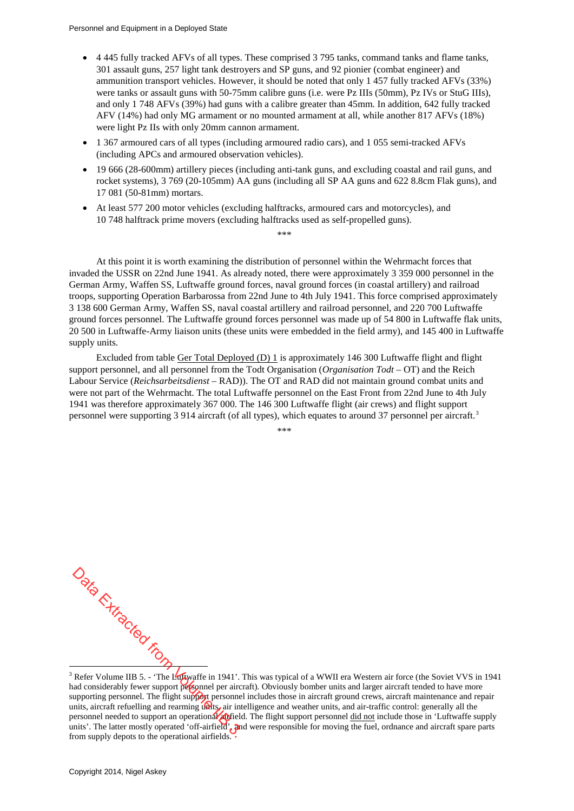- 4 445 fully tracked AFVs of all types. These comprised 3 795 tanks, command tanks and flame tanks, 301 assault guns, 257 light tank destroyers and SP guns, and 92 pionier (combat engineer) and ammunition transport vehicles. However, it should be noted that only 1 457 fully tracked AFVs (33%) were tanks or assault guns with 50-75mm calibre guns (i.e. were Pz IIIs (50mm), Pz IVs or StuG IIIs), and only 1 748 AFVs (39%) had guns with a calibre greater than 45mm. In addition, 642 fully tracked AFV (14%) had only MG armament or no mounted armament at all, while another 817 AFVs (18%) were light Pz IIs with only 20mm cannon armament.
- 1 367 armoured cars of all types (including armoured radio cars), and 1 055 semi-tracked AFVs (including APCs and armoured observation vehicles).
- 19 666 (28-600mm) artillery pieces (including anti-tank guns, and excluding coastal and rail guns, and rocket systems), 3 769 (20-105mm) AA guns (including all SP AA guns and 622 8.8cm Flak guns), and 17 081 (50-81mm) mortars.
- At least 577 200 motor vehicles (excluding halftracks, armoured cars and motorcycles), and 10 748 halftrack prime movers (excluding halftracks used as self-propelled guns).

\*\*\*\*

At this point it is worth examining the distribution of personnel within the Wehrmacht forces that invaded the USSR on 22nd June 1941. As already noted, there were approximately 3 359 000 personnel in the German Army, Waffen SS, Luftwaffe ground forces, naval ground forces (in coastal artillery) and railroad troops, supporting Operation Barbarossa from 22nd June to 4th July 1941. This force comprised approximately 3 138 600 German Army, Waffen SS, naval coastal artillery and railroad personnel, and 220 700 Luftwaffe ground forces personnel. The Luftwaffe ground forces personnel was made up of 54 800 in Luftwaffe flak units, 20 500 in Luftwaffe-Army liaison units (these units were embedded in the field army), and 145 400 in Luftwaffe supply units.

Excluded from table Ger Total Deployed (D) 1 is approximately 146 300 Luftwaffe flight and flight support personnel, and all personnel from the Todt Organisation (*Organisation Todt* – OT) and the Reich Labour Service (*Reichsarbeitsdienst* – RAD)). The OT and RAD did not maintain ground combat units and were not part of the Wehrmacht. The total Luftwaffe personnel on the East Front from 22nd June to 4th July 1941 was therefore approximately 367 000. The 146 300 Luftwaffe flight (air crews) and flight support personnel were supporting [3](#page-2-0) 914 aircraft (of all types), which equates to around 37 personnel per aircraft.<sup>3</sup>

\*\*\*\*

-

<span id="page-2-0"></span><sup>&</sup>lt;sup>3</sup> Refer Volume IIB 5. - 'The Luftwaffe in 1941'. This was typical of a WWII era Western air force (the Soviet VVS in 1941 had considerably fewer support personnel per aircraft). Obviously bomber units and larger aircraft tended to have more supporting personnel. The flight support personnel includes those in aircraft ground crews, aircraft maintenance and repair units, aircraft refuelling and rearming units, air intelligence and weather units, and air-traffic control: generally all the personnel needed to support an operational and field. The flight support personnel did not include those in 'Luftwaffe supply units'. The latter mostly operated 'off-airfield', and were responsible for moving the fuel, ordnance and aircraft spare parts from supply depots to the operational airfields.  $\frac{1}{2}$ <br>  $\frac{1}{2}$ <br>
Refer Volume IIB 5. - 'The Leftwaffe in 1941'.<br>
Refer Volume IIB 5. - 'The Leftwaffe in 1941'.<br>
upporting personnel. The flight support personnel per airc<br>
upporting personnel. The flight support per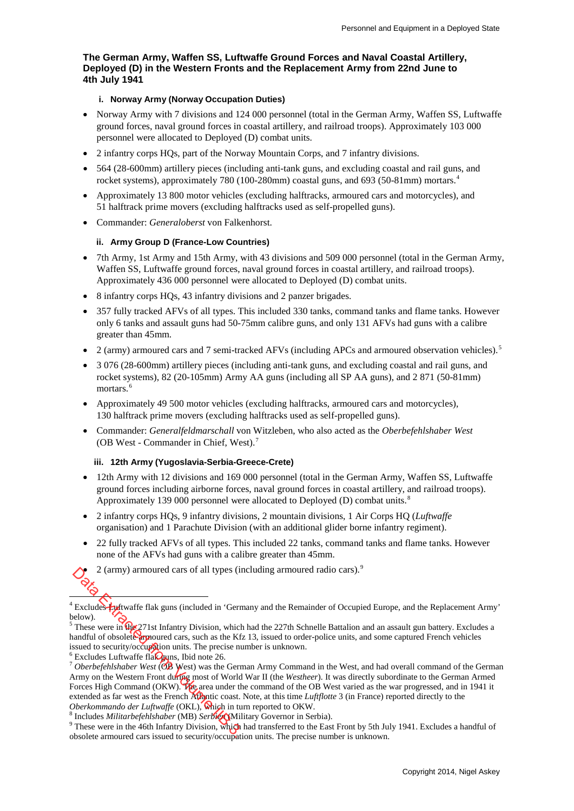## **The German Army, Waffen SS, Luftwaffe Ground Forces and Naval Coastal Artillery, Deployed (D) in the Western Fronts and the Replacement Army from 22nd June to 4th July 1941**

### **i. Norway Army (Norway Occupation Duties)**

- Norway Army with 7 divisions and 124 000 personnel (total in the German Army, Waffen SS, Luftwaffe ground forces, naval ground forces in coastal artillery, and railroad troops). Approximately 103 000 personnel were allocated to Deployed (D) combat units.
- 2 infantry corps HQs, part of the Norway Mountain Corps, and 7 infantry divisions.
- 564 (28-600mm) artillery pieces (including anti-tank guns, and excluding coastal and rail guns, and rocket systems), approximately 780 (100-280mm) coastal guns, and 693 (50-81mm) mortars.<sup>[4](#page-3-0)</sup>
- Approximately 13 800 motor vehicles (excluding halftracks, armoured cars and motorcycles), and 51 halftrack prime movers (excluding halftracks used as self-propelled guns).
- Commander: *Generaloberst* von Falkenhorst.

#### **ii. Army Group D (France-Low Countries)**

- 7th Army, 1st Army and 15th Army, with 43 divisions and 509 000 personnel (total in the German Army, Waffen SS, Luftwaffe ground forces, naval ground forces in coastal artillery, and railroad troops). Approximately 436 000 personnel were allocated to Deployed (D) combat units.
- 8 infantry corps HQs, 43 infantry divisions and 2 panzer brigades.
- 357 fully tracked AFVs of all types. This included 330 tanks, command tanks and flame tanks. However only 6 tanks and assault guns had 50-75mm calibre guns, and only 131 AFVs had guns with a calibre greater than 45mm.
- 2 (army) armoured cars and 7 semi-tracked AFVs (including APCs and armoured observation vehicles).<sup>[5](#page-3-1)</sup>
- 3 076 (28-600mm) artillery pieces (including anti-tank guns, and excluding coastal and rail guns, and rocket systems), 82 (20-105mm) Army AA guns (including all SP AA guns), and 2 871 (50-81mm) mortars.<sup>[6](#page-3-2)</sup>
- Approximately 49 500 motor vehicles (excluding halftracks, armoured cars and motorcycles), 130 halftrack prime movers (excluding halftracks used as self-propelled guns).
- Commander: *Generalfeldmarschall* von Witzleben, who also acted as the *Oberbefehlshaber West* (OB West - Commander in Chief, West).[7](#page-3-3)

#### **iii. 12th Army (Yugoslavia-Serbia-Greece-Crete)**

- 12th Army with 12 divisions and 169 000 personnel (total in the German Army, Waffen SS, Luftwaffe ground forces including airborne forces, naval ground forces in coastal artillery, and railroad troops). Approximately 139 000 personnel were allocated to Deployed (D) combat units.<sup>[8](#page-3-4)</sup>
- 2 infantry corps HQs, 9 infantry divisions, 2 mountain divisions, 1 Air Corps HQ (*Luftwaffe* organisation) and 1 Parachute Division (with an additional glider borne infantry regiment).
- 22 fully tracked AFVs of all types. This included 22 tanks, command tanks and flame tanks. However none of the AFVs had guns with a calibre greater than 45mm.
	- 2 (army) armoured cars of all types (including armoured radio cars).[9](#page-3-5)

<span id="page-3-0"></span><sup>-</sup><sup>4</sup> Excludes Luftwaffe flak guns (included in 'Germany and the Remainder of Occupied Europe, and the Replacement Army' below).

<span id="page-3-1"></span> $<sup>5</sup>$  These were in the 271st Infantry Division, which had the 227th Schnelle Battalion and an assault gun battery. Excludes a</sup> handful of obsolete armoured cars, such as the Kfz 13, issued to order-police units, and some captured French vehicles issued to security/occupation units. The precise number is unknown.

<span id="page-3-3"></span><span id="page-3-2"></span> $6$  Excludes Luftwaffe flak guns, Ibid note 26.

<sup>7</sup> *Oberbefehlshaber West* (OB West) was the German Army Command in the West, and had overall command of th[e German](http://en.wikipedia.org/wiki/Wehrmacht)  Army on the Western Front during most of [World War II](http://en.wikipedia.org/wiki/World_War_II) (the *[Westheer](http://en.wikipedia.org/wiki/Westheer)*). It was directly subordinate to the [German Armed](http://en.wikipedia.org/wiki/German_Armed_Forces_High_Command)  Forces High Command (OKW). The area under the command of the OB West varied as the war progressed, and in 1941 it extended as far west as the French Atlantic coast. Note, at this time *Luftflotte* 3 (in France) reported directly to the Oberkommando der Luftwaffe (OKL), Which in turn reported to OKW.<br><sup>8</sup> Includes *Militarbefehlshaber* (MB) Serbiot Military Governor in Serbia).<br><sup>9</sup> These were in the 46th Infantry Division, which had transferred to the East 2 (army) armoured cars of all types (i<br>
Excludes *Endwarfte flak guns* (included in 'Gerrelow).<br>
These were in the 271st Infantry Division, which<br>
andful of obsolet **Contains** and as the KH stated to security/occuption un

<span id="page-3-4"></span>

<span id="page-3-5"></span>obsolete armoured cars issued to security/occupation units. The precise number is unknown.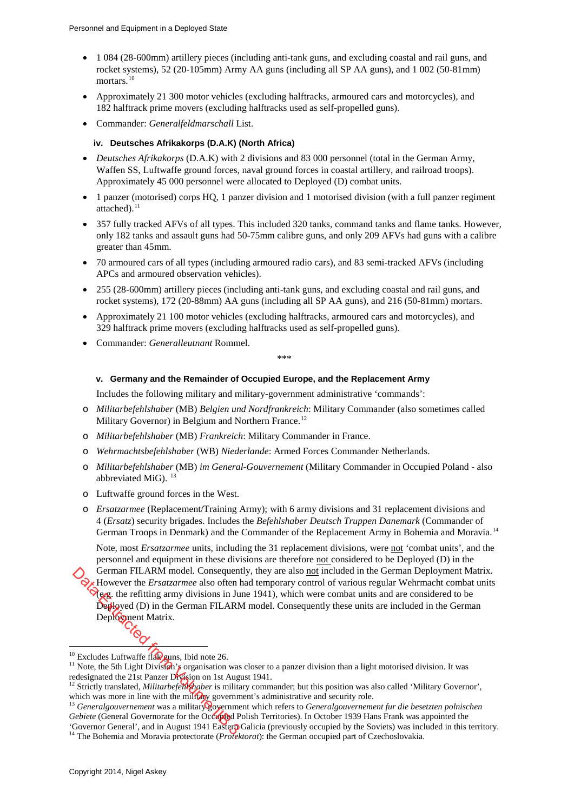- 1 084 (28-600mm) artillery pieces (including anti-tank guns, and excluding coastal and rail guns, and rocket systems), 52 (20-105mm) Army AA guns (including all SP AA guns), and 1 002 (50-81mm) mortars.<sup>[10](#page-4-0)</sup>
- Approximately 21 300 motor vehicles (excluding halftracks, armoured cars and motorcycles), and 182 halftrack prime movers (excluding halftracks used as self-propelled guns).
- Commander: *Generalfeldmarschall* List.

#### **iv. Deutsches Afrikakorps (D.A.K) (North Africa)**

- *Deutsches Afrikakorps* (D.A.K) with 2 divisions and 83 000 personnel (total in the German Army, Waffen SS, Luftwaffe ground forces, naval ground forces in coastal artillery, and railroad troops). Approximately 45 000 personnel were allocated to Deployed (D) combat units.
- 1 panzer (motorised) corps HQ, 1 panzer division and 1 motorised division (with a full panzer regiment attached).<sup>[11](#page-4-1)</sup>
- 357 fully tracked AFVs of all types. This included 320 tanks, command tanks and flame tanks. However, only 182 tanks and assault guns had 50-75mm calibre guns, and only 209 AFVs had guns with a calibre greater than 45mm.
- 70 armoured cars of all types (including armoured radio cars), and 83 semi-tracked AFVs (including APCs and armoured observation vehicles).
- 255 (28-600mm) artillery pieces (including anti-tank guns, and excluding coastal and rail guns, and rocket systems), 172 (20-88mm) AA guns (including all SP AA guns), and 216 (50-81mm) mortars.
- Approximately 21 100 motor vehicles (excluding halftracks, armoured cars and motorcycles), and 329 halftrack prime movers (excluding halftracks used as self-propelled guns).
- Commander: *Generalleutnant* Rommel.

\*\*\*

#### **v. Germany and the Remainder of Occupied Europe, and the Replacement Army**

Includes the following military and military-government administrative 'commands':

- o *Militarbefehlshaber* (MB) *Belgien und Nordfrankreich*: Military Commander (also sometimes called Military Governor) in Belgium and Northern France.<sup>[12](#page-4-2)</sup>
- o *Militarbefehlshaber* (MB) *Frankreich*: Military Commander in France.
- o *Wehrmachtsbefehlshaber* (WB) *Niederlande*: Armed Forces Commander Netherlands.
- o *Militarbefehlshaber* (MB) *im General-Gouvernement* (Military Commander in Occupied Poland also abbreviated MiG).<sup>[13](#page-4-3)</sup>
- o Luftwaffe ground forces in the West.
- o *Ersatzarmee* (Replacement/Training Army); with 6 army divisions and 31 replacement divisions and 4 (*Ersatz*) security brigades. Includes the *Befehlshaber Deutsch Truppen Danemark* (Commander of German Troops in Denmark) and the Commander of the Replacement Army in Bohemia and Moravia.<sup>[14](#page-4-4)</sup>

Note, most *Ersatzarmee* units, including the 31 replacement divisions, were not 'combat units', and the personnel and equipment in these divisions are therefore not considered to be Deployed (D) in the German FILARM model. Consequently, they are also not included in the German Deployment Matrix. However the *Ersatzarmee* also often had temporary control of various regular Wehrmacht combat units  $\aleph_{\text{CQ}}$ , the refitting army divisions in June 1941), which were combat units and are considered to be Deployed (D) in the German FILARM model. Consequently these units are included in the German Deployment Matrix. German FILARM model. Consequen<br>  $\mathcal{L}_{\mathbf{g}}$ . However the *Ersatzarmee* also often I<br>  $\mathcal{L}_{\mathbf{g}}$ , the refitting army divisions in Ju<br>
Deployed (D) in the German FILARM<br>
Deployent Matrix.<br>  $\mathcal{L}_{\mathbf{g}}$ <br>  $\mathcal{L}_{\mathbf{$ 

<sup>&</sup>lt;sup>10</sup> Excludes Luftwaffe fla**Dguns**, Ibid note 26.

<span id="page-4-1"></span><span id="page-4-0"></span><sup>&</sup>lt;sup>11</sup> Note, the 5th Light Division's organisation was closer to a panzer division than a light motorised division. It was redesignated the 21st Panzer Division on 1st August 1941.<br><sup>12</sup> Strictly translated, *Militarbefehlshaber* is military commander; but this position was also called 'Military Governor',

<span id="page-4-2"></span>which was more in line with the military government's administrative and security role.

<span id="page-4-3"></span><sup>&</sup>lt;sup>13</sup> Generalgouvernement was a military government which refers to Generalgouvernement fur die besetzten polnischen *Gebiete* (General Governorate for the Occupied Polish Territories). In October 1939 Hans Frank was appointed the 'Governor General', and in August 1941 Eastern Galicia (previously occupied by the Soviets) was included in this territory.

<span id="page-4-4"></span><sup>&</sup>lt;sup>14</sup> The Bohemia and Moravia protectorate (*Protektorat*): the German occupied part of Czechoslovakia.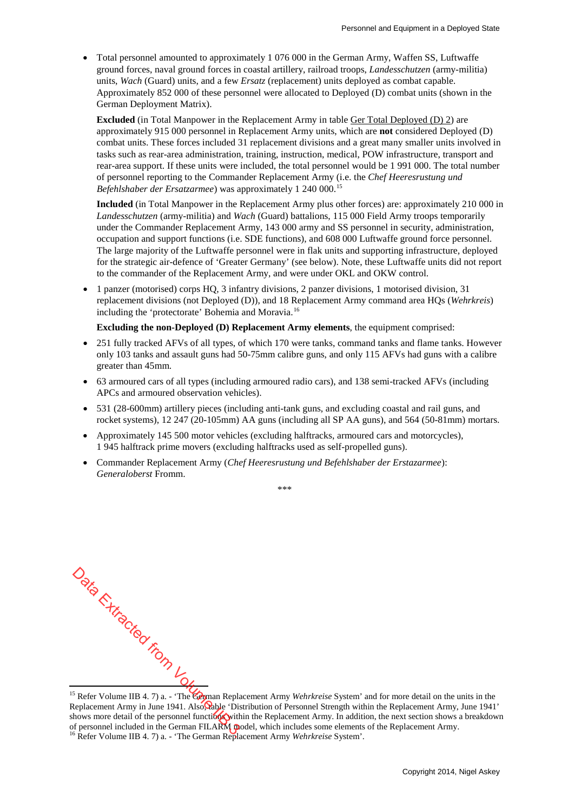• Total personnel amounted to approximately 1 076 000 in the German Army, Waffen SS, Luftwaffe ground forces, naval ground forces in coastal artillery, railroad troops, *Landesschutzen* (army-militia) units, *Wach* (Guard) units, and a few *Ersatz* (replacement) units deployed as combat capable. Approximately 852 000 of these personnel were allocated to Deployed (D) combat units (shown in the German Deployment Matrix).

**Excluded** (in Total Manpower in the Replacement Army in table Ger Total Deployed (D) 2) are approximately 915 000 personnel in Replacement Army units, which are **not** considered Deployed (D) combat units. These forces included 31 replacement divisions and a great many smaller units involved in tasks such as rear-area administration, training, instruction, medical, POW infrastructure, transport and rear-area support. If these units were included, the total personnel would be 1 991 000. The total number of personnel reporting to the Commander Replacement Army (i.e. the *Chef Heeresrustung und Befehlshaber der Ersatzarmee*) was approximately 1 240 000. [15](#page-5-0)

**Included** (in Total Manpower in the Replacement Army plus other forces) are: approximately 210 000 in *Landesschutzen* (army-militia) and *Wach* (Guard) battalions, 115 000 Field Army troops temporarily under the Commander Replacement Army, 143 000 army and SS personnel in security, administration, occupation and support functions (i.e. SDE functions), and 608 000 Luftwaffe ground force personnel. The large majority of the Luftwaffe personnel were in flak units and supporting infrastructure, deployed for the strategic air-defence of 'Greater Germany' (see below). Note, these Luftwaffe units did not report to the commander of the Replacement Army, and were under OKL and OKW control.

• 1 panzer (motorised) corps HQ, 3 infantry divisions, 2 panzer divisions, 1 motorised division, 31 replacement divisions (not Deployed (D)), and 18 Replacement Army command area HQs (*Wehrkreis*) including the 'protectorate' Bohemia and Moravia.<sup>[16](#page-5-1)</sup>

**Excluding the non-Deployed (D) Replacement Army elements**, the equipment comprised:

- 251 fully tracked AFVs of all types, of which 170 were tanks, command tanks and flame tanks. However only 103 tanks and assault guns had 50-75mm calibre guns, and only 115 AFVs had guns with a calibre greater than 45mm.
- 63 armoured cars of all types (including armoured radio cars), and 138 semi-tracked AFVs (including APCs and armoured observation vehicles).
- 531 (28-600mm) artillery pieces (including anti-tank guns, and excluding coastal and rail guns, and rocket systems), 12 247 (20-105mm) AA guns (including all SP AA guns), and 564 (50-81mm) mortars.
- Approximately 145 500 motor vehicles (excluding halftracks, armoured cars and motorcycles), 1 945 halftrack prime movers (excluding halftracks used as self-propelled guns).
- Commander Replacement Army (*Chef Heeresrustung und Befehlshaber der Erstazarmee*): *Generaloberst* Fromm.

\*\*\*\*

- $\frac{1}{\sqrt{2}}$ <br>  $\frac{1}{\sqrt{2}}$ <br>  $\frac{1}{\sqrt{2}}$ <br>  $\frac{1}{\sqrt{2}}$ <br>  $\frac{1}{\sqrt{2}}$ <br>  $\frac{1}{\sqrt{2}}$ <br>  $\frac{1}{\sqrt{2}}$ <br>  $\frac{1}{\sqrt{2}}$ <br>  $\frac{1}{\sqrt{2}}$ <br>  $\frac{1}{\sqrt{2}}$ <br>  $\frac{1}{\sqrt{2}}$ <br>  $\frac{1}{\sqrt{2}}$ <br>  $\frac{1}{\sqrt{2}}$ <br>  $\frac{1}{\sqrt{2}}$ <br>  $\frac{1}{\sqrt{2}}$ <br>  $\frac{1}{\sqrt{2}}$ 

<span id="page-5-1"></span><span id="page-5-0"></span><sup>&</sup>lt;sup>15</sup> Refer Volume IIB 4. 7) a. - 'The German Replacement Army *Wehrkreise* System' and for more detail on the units in the Replacement Army in June 1941. Also, Cable 'Distribution of Personnel Strength within the Replacement Army, June 1941' shows more detail of the personnel functions within the Replacement Army. In addition, the next section shows a breakdown of personnel included in the German FILARM model, which includes some elements of the Replacement Army. <sup>16</sup> Refer Volume IIB 4. 7) a. - 'The German Replacement Army *Wehrkreise* System'.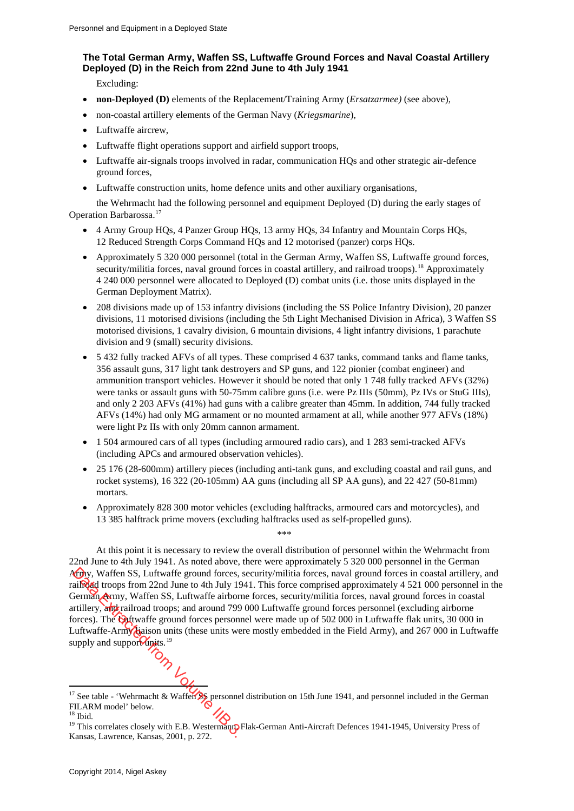# **The Total German Army, Waffen SS, Luftwaffe Ground Forces and Naval Coastal Artillery Deployed (D) in the Reich from 22nd June to 4th July 1941**

Excluding:

- **non-Deployed (D)** elements of the Replacement/Training Army (*Ersatzarmee)* (see above),
- non-coastal artillery elements of the German Navy (*Kriegsmarine*),
- Luftwaffe aircrew,
- Luftwaffe flight operations support and airfield support troops,
- Luftwaffe air-signals troops involved in radar, communication HQs and other strategic air-defence ground forces,
- Luftwaffe construction units, home defence units and other auxiliary organisations,

the Wehrmacht had the following personnel and equipment Deployed (D) during the early stages of Operation Barbarossa.[17](#page-6-0)

- 4 Army Group HQs, 4 Panzer Group HQs, 13 army HQs, 34 Infantry and Mountain Corps HQs, 12 Reduced Strength Corps Command HQs and 12 motorised (panzer) corps HQs.
- Approximately 5 320 000 personnel (total in the German Army, Waffen SS, Luftwaffe ground forces, security/militia forces, naval ground forces in coastal artillery, and railroad troops).<sup>[18](#page-6-1)</sup> Approximately 4 240 000 personnel were allocated to Deployed (D) combat units (i.e. those units displayed in the German Deployment Matrix).
- 208 divisions made up of 153 infantry divisions (including the SS Police Infantry Division), 20 panzer divisions, 11 motorised divisions (including the 5th Light Mechanised Division in Africa), 3 Waffen SS motorised divisions, 1 cavalry division, 6 mountain divisions, 4 light infantry divisions, 1 parachute division and 9 (small) security divisions.
- 5 432 fully tracked AFVs of all types. These comprised 4 637 tanks, command tanks and flame tanks, 356 assault guns, 317 light tank destroyers and SP guns, and 122 pionier (combat engineer) and ammunition transport vehicles. However it should be noted that only 1 748 fully tracked AFVs (32%) were tanks or assault guns with 50-75mm calibre guns (i.e. were Pz IIIs (50mm), Pz IVs or StuG IIIs), and only 2 203 AFVs (41%) had guns with a calibre greater than 45mm. In addition, 744 fully tracked AFVs (14%) had only MG armament or no mounted armament at all, while another 977 AFVs (18%) were light Pz IIs with only 20mm cannon armament.
- 1 504 armoured cars of all types (including armoured radio cars), and 1 283 semi-tracked AFVs (including APCs and armoured observation vehicles).
- 25 176 (28-600mm) artillery pieces (including anti-tank guns, and excluding coastal and rail guns, and rocket systems), 16 322 (20-105mm) AA guns (including all SP AA guns), and 22 427 (50-81mm) mortars.
- Approximately 828 300 motor vehicles (excluding halftracks, armoured cars and motorcycles), and 13 385 halftrack prime movers (excluding halftracks used as self-propelled guns).

At this point it is necessary to review the overall distribution of personnel within the Wehrmacht from 22nd June to 4th July 1941. As noted above, there were approximately 5 320 000 personnel in the German Army, Waffen SS, Luftwaffe ground forces, security/militia forces, naval ground forces in coastal artillery, and railroad troops from 22nd June to 4th July 1941. This force comprised approximately 4 521 000 personnel in the German Army, Waffen SS, Luftwaffe airborne forces, security/militia forces, naval ground forces in coastal artillery, and railroad troops; and around 799 000 Luftwaffe ground forces personnel (excluding airborne forces). The **Eu**ftwaffe ground forces personnel were made up of 502 000 in Luftwaffe flak units, 30 000 in Luftwaffe-Army diaison units (these units were mostly embedded in the Field Army), and 267 000 in Luftwaffe supply and support  $\frac{19}{2}$ **Case of the SCS**, Luftwaffe ground forces,<br>
ailroad troops from 22nd June to 4th July 19<br>
Jerman Army, Waffen SS, Luftwaffe airbor<br>
rtillery, and railroad troops; and around 799<br>
orces). The **Extraction** forces person<br>
Lu

\*\*\*\*

-

<span id="page-6-0"></span><sup>&</sup>lt;sup>17</sup> See table - 'Wehrmacht & Waffen  $\frac{1}{25}$  personnel distribution on 15th June 1941, and personnel included in the German FILARM model' below.<br><sup>18</sup> Ibid. 19 This correlates closely with E.B. Westermann, Flak-German Anti-Aircraft Defences 1941-1945, University Press of

<span id="page-6-1"></span>

<span id="page-6-2"></span>Kansas, Lawrence, Kansas, 2001, p. 272.